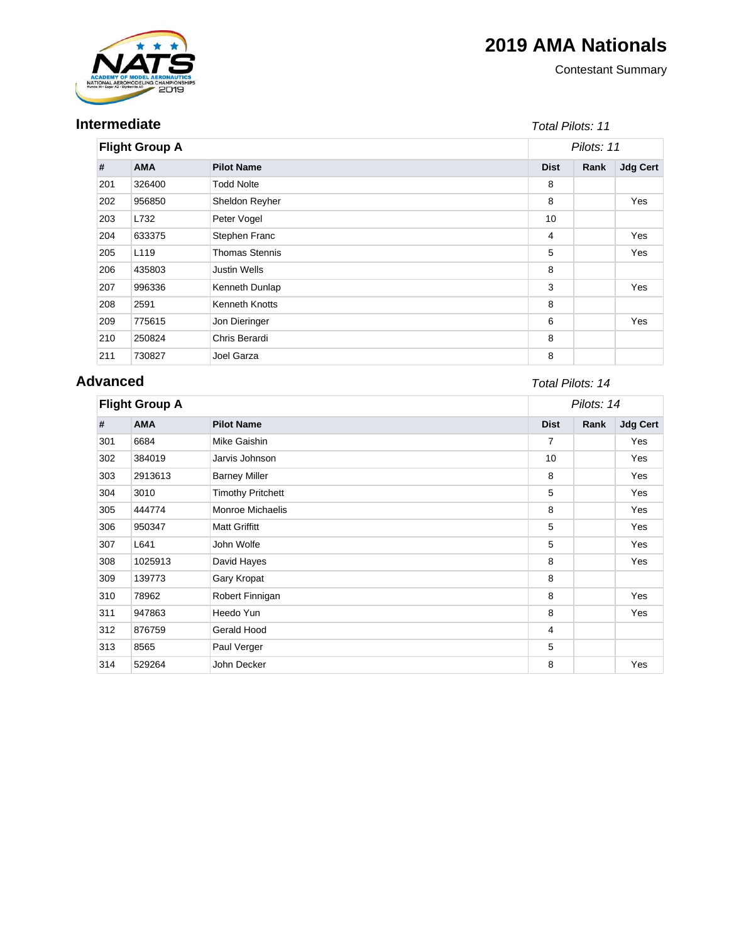# **2019 AMA Nationals**



**Intermediate**

### Contestant Summary

### Total Pilots: 11

| <b>Flight Group A</b> |            |                       | Pilots: 11  |      |                 |
|-----------------------|------------|-----------------------|-------------|------|-----------------|
| #                     | <b>AMA</b> | <b>Pilot Name</b>     | <b>Dist</b> | Rank | <b>Jdg Cert</b> |
| 201                   | 326400     | <b>Todd Nolte</b>     | 8           |      |                 |
| 202                   | 956850     | Sheldon Reyher        | 8           |      | Yes             |
| 203                   | L732       | Peter Vogel           | 10          |      |                 |
| 204                   | 633375     | Stephen Franc         | 4           |      | Yes             |
| 205                   | L119       | <b>Thomas Stennis</b> | 5           |      | Yes             |
| 206                   | 435803     | <b>Justin Wells</b>   | 8           |      |                 |
| 207                   | 996336     | Kenneth Dunlap        | 3           |      | Yes             |
| 208                   | 2591       | Kenneth Knotts        | 8           |      |                 |
| 209                   | 775615     | Jon Dieringer         | 6           |      | Yes             |
| 210                   | 250824     | Chris Berardi         | 8           |      |                 |
| 211                   | 730827     | Joel Garza            | 8           |      |                 |

# **Advanced**

## Total Pilots: 14

| <b>Flight Group A</b> |            |                          | Pilots: 14  |      |                 |
|-----------------------|------------|--------------------------|-------------|------|-----------------|
| #                     | <b>AMA</b> | <b>Pilot Name</b>        | <b>Dist</b> | Rank | <b>Jdg Cert</b> |
| 301                   | 6684       | Mike Gaishin             | 7           |      | Yes             |
| 302                   | 384019     | Jarvis Johnson           | 10          |      | Yes             |
| 303                   | 2913613    | <b>Barney Miller</b>     | 8           |      | Yes             |
| 304                   | 3010       | <b>Timothy Pritchett</b> | 5           |      | Yes             |
| 305                   | 444774     | <b>Monroe Michaelis</b>  | 8           |      | Yes             |
| 306                   | 950347     | <b>Matt Griffitt</b>     | 5           |      | Yes             |
| 307                   | L641       | John Wolfe               | 5           |      | Yes             |
| 308                   | 1025913    | David Hayes              | 8           |      | Yes             |
| 309                   | 139773     | Gary Kropat              | 8           |      |                 |
| 310                   | 78962      | Robert Finnigan          | 8           |      | Yes             |
| 311                   | 947863     | Heedo Yun                | 8           |      | Yes             |
| 312                   | 876759     | Gerald Hood              | 4           |      |                 |
| 313                   | 8565       | Paul Verger              | 5           |      |                 |
| 314                   | 529264     | John Decker              | 8           |      | Yes             |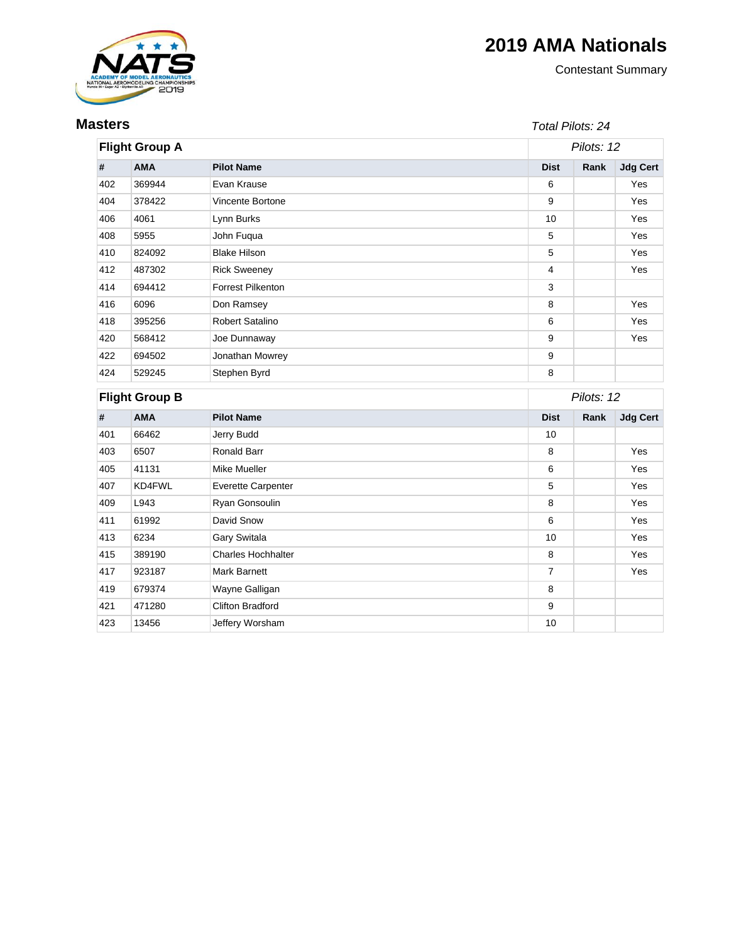# **2019 AMA Nationals**



**Masters**

Contestant Summary

#### Total Pilots: 24

| <b>Flight Group A</b> |                                 |                           | Pilots: 12       |      |                 |
|-----------------------|---------------------------------|---------------------------|------------------|------|-----------------|
| #                     | <b>AMA</b>                      | <b>Pilot Name</b>         | <b>Dist</b>      | Rank | <b>Jdg Cert</b> |
| 402                   | 369944                          | Evan Krause               | 6                |      | Yes             |
| 404                   | 378422                          | Vincente Bortone          | 9                |      | Yes             |
| 406                   | 4061                            | Lynn Burks                | 10               |      | Yes             |
| 408                   | 5955                            | John Fuqua                | 5                |      | Yes             |
| 410                   | 824092                          | <b>Blake Hilson</b>       | 5                |      | Yes             |
| 412                   | 487302                          | <b>Rick Sweeney</b>       | $\overline{4}$   |      | Yes             |
| 414                   | 694412                          | Forrest Pilkenton         | 3                |      |                 |
| 416                   | 6096                            | Don Ramsey                | 8                |      | Yes             |
| 418                   | 395256                          | Robert Satalino           | 6                |      | Yes             |
| 420                   | 568412                          | Joe Dunnaway              | 9                |      | Yes             |
| 422                   | 694502                          | Jonathan Mowrey           | $\boldsymbol{9}$ |      |                 |
| 424                   | 529245                          | Stephen Byrd              | 8                |      |                 |
| <b>Flight Group B</b> |                                 |                           | Pilots: 12       |      |                 |
| #                     | <b>AMA</b><br><b>Pilot Name</b> |                           | <b>Dist</b>      | Rank | <b>Jdg Cert</b> |
| 401                   | 66462                           | Jerry Budd                | 10               |      |                 |
| 403                   | 6507                            | <b>Ronald Barr</b>        | 8                |      | Yes             |
| 405                   | 41131                           | Mike Mueller              | 6                |      | Yes             |
| 407                   | KD4FWL                          | <b>Everette Carpenter</b> | 5                |      | Yes             |
| 409                   | L943                            | Ryan Gonsoulin            | 8                |      | Yes             |
| 411                   | 61992                           | David Snow                | 6                |      | Yes             |
| 413                   | 6234                            | <b>Gary Switala</b>       | 10               |      | Yes             |
| 415                   | 389190                          | <b>Charles Hochhalter</b> | 8                |      | Yes             |
| 417                   | 923187                          | <b>Mark Barnett</b>       | $\overline{7}$   |      | Yes             |
| 419                   | 679374                          | Wayne Galligan            | 8                |      |                 |
| 421                   | 471280                          | <b>Clifton Bradford</b>   | 9                |      |                 |
| 423                   | 13456                           | Jeffery Worsham           | 10               |      |                 |